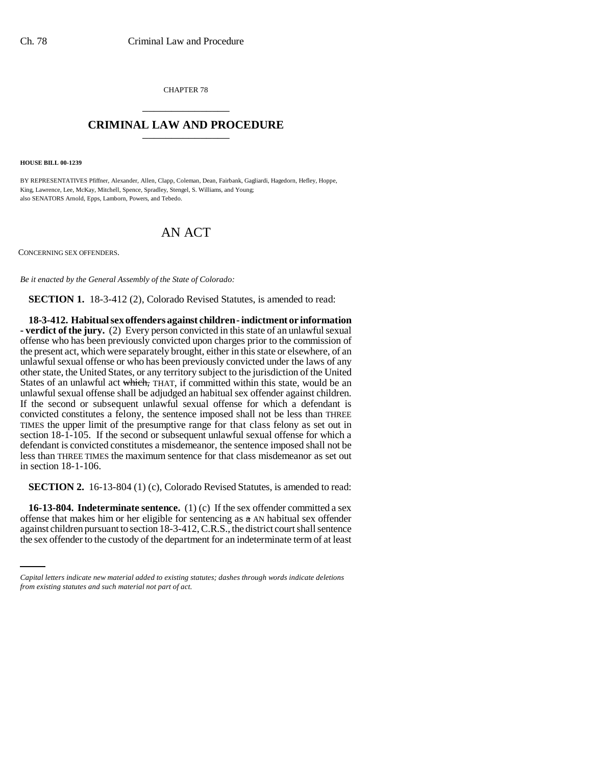CHAPTER 78 \_\_\_\_\_\_\_\_\_\_\_\_\_\_\_

## **CRIMINAL LAW AND PROCEDURE** \_\_\_\_\_\_\_\_\_\_\_\_\_\_\_

**HOUSE BILL 00-1239** 

BY REPRESENTATIVES Pfiffner, Alexander, Allen, Clapp, Coleman, Dean, Fairbank, Gagliardi, Hagedorn, Hefley, Hoppe, King, Lawrence, Lee, McKay, Mitchell, Spence, Spradley, Stengel, S. Williams, and Young; also SENATORS Arnold, Epps, Lamborn, Powers, and Tebedo.

## AN ACT

CONCERNING SEX OFFENDERS.

*Be it enacted by the General Assembly of the State of Colorado:*

**SECTION 1.** 18-3-412 (2), Colorado Revised Statutes, is amended to read:

**18-3-412. Habitual sex offenders against children - indictment or information - verdict of the jury.** (2) Every person convicted in this state of an unlawful sexual offense who has been previously convicted upon charges prior to the commission of the present act, which were separately brought, either in this state or elsewhere, of an unlawful sexual offense or who has been previously convicted under the laws of any other state, the United States, or any territory subject to the jurisdiction of the United States of an unlawful act which, THAT, if committed within this state, would be an unlawful sexual offense shall be adjudged an habitual sex offender against children. If the second or subsequent unlawful sexual offense for which a defendant is convicted constitutes a felony, the sentence imposed shall not be less than THREE TIMES the upper limit of the presumptive range for that class felony as set out in section 18-1-105. If the second or subsequent unlawful sexual offense for which a defendant is convicted constitutes a misdemeanor, the sentence imposed shall not be less than THREE TIMES the maximum sentence for that class misdemeanor as set out in section 18-1-106.

**SECTION 2.** 16-13-804 (1) (c), Colorado Revised Statutes, is amended to read:

offense that makes him or her eligible for sentencing as  $\alpha$  AN habitual sex offender **16-13-804. Indeterminate sentence.** (1) (c) If the sex offender committed a sex against children pursuant to section 18-3-412, C.R.S., the district court shall sentence the sex offender to the custody of the department for an indeterminate term of at least

*Capital letters indicate new material added to existing statutes; dashes through words indicate deletions from existing statutes and such material not part of act.*